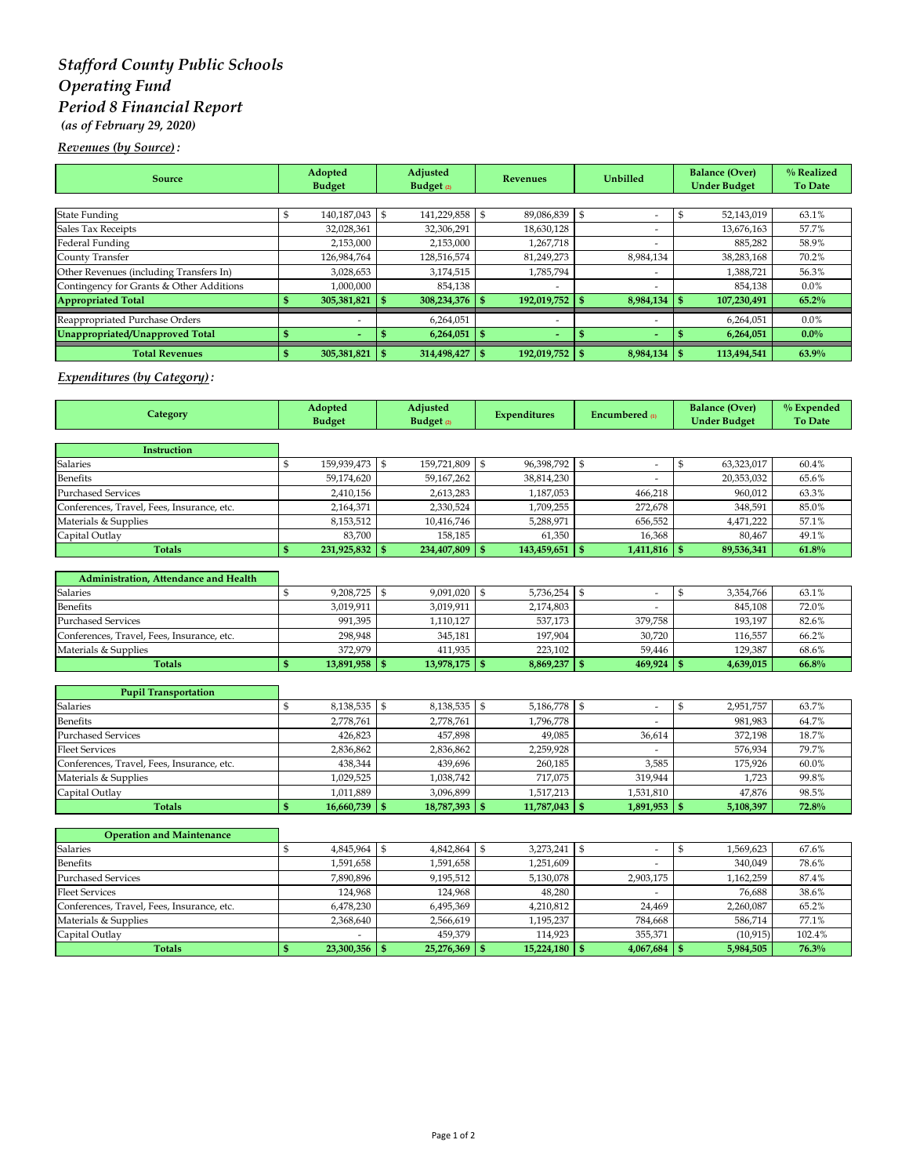# *Stafford County Public Schools Operating Fund Period 8 Financial Report (as of February 29, 2020)*

## *Revenues (by Source) :*

| <b>Source</b>                            | Adopted<br><b>Budget</b> |      | Adjusted<br>Budget $\varrho$ | <b>Revenues</b> |                          | <b>Unbilled</b> |                          | <b>Balance (Over)</b><br><b>Under Budget</b> | % Realized<br><b>To Date</b> |
|------------------------------------------|--------------------------|------|------------------------------|-----------------|--------------------------|-----------------|--------------------------|----------------------------------------------|------------------------------|
|                                          |                          |      |                              |                 |                          |                 |                          |                                              |                              |
| <b>State Funding</b>                     | 140,187,043              | - \$ | 141,229,858                  |                 | 89,086,839               | S               | -                        | 52,143,019                                   | 63.1%                        |
| Sales Tax Receipts                       | 32,028,361               |      | 32,306,291                   |                 | 18,630,128               |                 |                          | 13,676,163                                   | 57.7%                        |
| Federal Funding                          | 2,153,000                |      | 2,153,000                    |                 | 1,267,718                |                 |                          | 885,282                                      | 58.9%                        |
| County Transfer                          | 126,984,764              |      | 128,516,574                  |                 | 81,249,273               |                 | 8,984,134                | 38,283,168                                   | 70.2%                        |
| Other Revenues (including Transfers In)  | 3,028,653                |      | 3,174,515                    |                 | 1,785,794                |                 | $\overline{\phantom{a}}$ | 1,388,721                                    | 56.3%                        |
| Contingency for Grants & Other Additions | 1,000,000                |      | 854,138                      |                 | $\overline{\phantom{a}}$ |                 | $\overline{\phantom{a}}$ | 854,138                                      | $0.0\%$                      |
| <b>Appropriated Total</b>                | 305,381,821              |      | 308,234,376                  |                 | 192,019,752              |                 | 8,984,134                | 107,230,491                                  | 65.2%                        |
| Reappropriated Purchase Orders           | -                        |      | 6,264,051                    |                 | $\overline{\phantom{a}}$ |                 | $\overline{\phantom{a}}$ | 6.264.051                                    | $0.0\%$                      |
| Unappropriated/Unapproved Total          | $\overline{\phantom{a}}$ |      | 6,264,051                    |                 | $\overline{\phantom{a}}$ |                 | $\sim$                   | 6,264,051                                    | $0.0\%$                      |
| <b>Total Revenues</b>                    | 305,381,821              | - \$ | 314,498,427                  |                 | 192,019,752 \$           |                 | $8,984,134$ \$           | 113,494,541                                  | 63.9%                        |

## *Expenditures (by Category) :*

| Category                                   |              | Adopted<br><b>Budget</b> |                | Adjusted<br>Budget <sub>(2)</sub> |              | <b>Expenditures</b> |                | <b>Encumbered</b> m      |      | <b>Balance (Over)</b><br><b>Under Budget</b> | % Expended<br><b>To Date</b> |
|--------------------------------------------|--------------|--------------------------|----------------|-----------------------------------|--------------|---------------------|----------------|--------------------------|------|----------------------------------------------|------------------------------|
|                                            |              |                          |                |                                   |              |                     |                |                          |      |                                              |                              |
| Instruction                                |              |                          |                |                                   |              |                     |                |                          |      |                                              |                              |
| Salaries                                   | \$           | 159,939,473              | \$             | 159,721,809                       | \$           | 96,398,792          | $\mathfrak{s}$ | $\overline{\phantom{a}}$ | $\$$ | 63,323,017                                   | 60.4%                        |
| Benefits                                   |              | 59,174,620               |                | 59,167,262                        |              | 38,814,230          |                |                          |      | 20,353,032                                   | 65.6%                        |
| <b>Purchased Services</b>                  |              | 2,410,156                |                | 2,613,283                         |              | 1,187,053           |                | 466,218                  |      | 960,012                                      | 63.3%                        |
| Conferences, Travel, Fees, Insurance, etc. |              | 2,164,371                |                | 2,330,524                         |              | 1,709,255           |                | 272,678                  |      | 348,591                                      | 85.0%                        |
| Materials & Supplies                       |              | 8,153,512                |                | 10,416,746                        |              | 5.288.971           |                | 656.552                  |      | 4,471,222                                    | 57.1%                        |
| Capital Outlay                             |              | 83.700                   |                | 158,185                           |              | 61.350              |                | 16,368                   |      | 80,467                                       | 49.1%                        |
| <b>Totals</b>                              | S            | 231,925,832              | l \$           | 234,407,809                       | \$           | 143,459,651         | <b>1S</b>      | $1,411,816$ \$           |      | 89,536,341                                   | 61.8%                        |
| Administration, Attendance and Health      |              |                          |                |                                   |              |                     |                |                          |      |                                              |                              |
| Salaries                                   | \$           | 9,208,725                | $\mathbb{S}$   | 9,091,020                         | \$           | 5,736,254           | $\mathbf{s}$   | $\overline{\phantom{a}}$ | \$   | 3,354,766                                    | 63.1%                        |
| <b>Benefits</b>                            |              | 3,019,911                |                | 3,019,911                         |              | 2,174,803           |                |                          |      | 845,108                                      | 72.0%                        |
| <b>Purchased Services</b>                  |              | 991,395                  |                | 1,110,127                         |              | 537,173             |                | 379,758                  |      | 193,197                                      | 82.6%                        |
| Conferences, Travel, Fees, Insurance, etc. |              | 298,948                  |                | 345,181                           |              | 197,904             |                | 30,720                   |      | 116,557                                      | 66.2%                        |
| Materials & Supplies                       |              | 372,979                  |                | 411,935                           |              | 223,102             |                | 59,446                   |      | 129,387                                      | 68.6%                        |
| <b>Totals</b>                              | $\mathbf{s}$ | 13,891,958               | <b>S</b>       | 13,978,175                        | $\mathbf{s}$ | 8,869,237           | $\mathsf{I}$ s | $469,924$ \$             |      | 4,639,015                                    | 66.8%                        |
|                                            |              |                          |                |                                   |              |                     |                |                          |      |                                              |                              |
| <b>Pupil Transportation</b>                |              |                          |                |                                   |              |                     |                |                          |      |                                              |                              |
| <b>Salaries</b>                            | \$           | 8,138,535                | $\mathfrak{S}$ | 8,138,535                         | \$           | 5,186,778           | $\mathbb{S}$   | $\overline{\phantom{a}}$ | $\$$ | 2,951,757                                    | 63.7%                        |
| <b>Benefits</b>                            |              | 2,778,761                |                | 2,778,761                         |              | 1,796,778           |                |                          |      | 981,983                                      | 64.7%                        |
| <b>Purchased Services</b>                  |              | 426,823                  |                | 457,898                           |              | 49,085              |                | 36,614                   |      | 372,198                                      | 18.7%                        |
| <b>Fleet Services</b>                      |              | 2,836,862                |                | 2,836,862                         |              | 2,259,928           |                |                          |      | 576,934                                      | 79.7%                        |
| Conferences, Travel, Fees, Insurance, etc. |              | 438,344                  |                | 439,696                           |              | 260,185             |                | 3,585                    |      | 175,926                                      | 60.0%                        |
| Materials & Supplies                       |              | 1,029,525                |                | 1,038,742                         |              | 717,075             |                | 319,944                  |      | 1,723                                        | 99.8%                        |
| Capital Outlay                             |              | 1,011,889                |                | 3,096,899                         |              | 1,517,213           |                | 1,531,810                |      | 47,876                                       | 98.5%                        |
| <b>Totals</b>                              | \$           | 16,660,739               | l \$           | 18,787,393                        | \$           | 11,787,043          | l \$           | $1,891,953$ \$           |      | 5,108,397                                    | 72.8%                        |
| <b>Operation and Maintenance</b>           |              |                          |                |                                   |              |                     |                |                          |      |                                              |                              |
| Salaries                                   | \$           | 4,845,964                | \$             | 4,842,864                         | \$           | 3,273,241           | $\mathfrak{s}$ | $\overline{\phantom{a}}$ | $\$$ | 1,569,623                                    | 67.6%                        |
| <b>Benefits</b>                            |              | 1,591,658                |                | 1,591,658                         |              | 1,251,609           |                |                          |      | 340,049                                      | 78.6%                        |
| <b>Purchased Services</b>                  |              | 7,890,896                |                | 9,195,512                         |              | 5,130,078           |                | 2,903,175                |      | 1,162,259                                    | 87.4%                        |
| <b>Fleet Services</b>                      |              | 124,968                  |                | 124,968                           |              | 48,280              |                |                          |      | 76,688                                       | 38.6%                        |
| Conferences, Travel, Fees, Insurance, etc. |              | 6,478,230                |                | 6,495,369                         |              | 4,210,812           |                | 24,469                   |      | 2,260,087                                    | 65.2%                        |
| Materials & Supplies                       |              | 2,368,640                |                | 2,566,619                         |              | 1,195,237           |                | 784,668                  |      | 586,714                                      | 77.1%                        |
| Capital Outlay                             |              |                          |                | 459,379                           |              | 114,923             |                | 355,371                  |      | (10, 915)                                    | 102.4%                       |
| <b>Totals</b>                              | \$           | 23,300,356               | - \$           | 25,276,369                        | \$           | 15,224,180          | $\mathbb{S}$   | $4,067,684$ \$           |      | 5,984,505                                    | 76.3%                        |